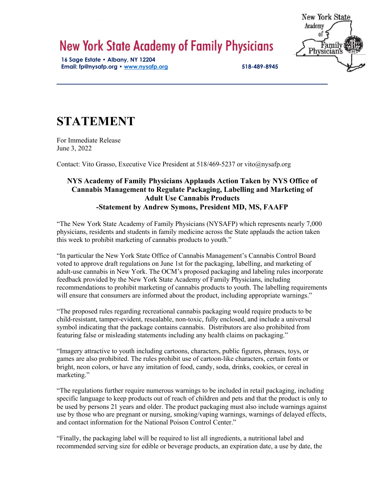## **New York State Academy of Family Physicians**

**16 Sage Estate • Albany, NY 12204 Email: fp@nysafp.org • www.nysafp.org 518-489-8945** **New York State** Academy of Family<br>Physicians

## **STATEMENT**

For Immediate Release June 3, 2022

Contact: Vito Grasso, Executive Vice President at 518/469-5237 or vito@nysafp.org

## **NYS Academy of Family Physicians Applauds Action Taken by NYS Office of Cannabis Management to Regulate Packaging, Labelling and Marketing of Adult Use Cannabis Products -Statement by Andrew Symons, President MD, MS, FAAFP**

"The New York State Academy of Family Physicians (NYSAFP) which represents nearly 7,000 physicians, residents and students in family medicine across the State applauds the action taken this week to prohibit marketing of cannabis products to youth."

"In particular the New York State Office of Cannabis Management's Cannabis Control Board voted to approve draft regulations on June 1st for the packaging, labelling, and marketing of adult-use cannabis in New York. The OCM's proposed packaging and labeling rules incorporate feedback provided by the New York State Academy of Family Physicians, including recommendations to prohibit marketing of cannabis products to youth. The labelling requirements will ensure that consumers are informed about the product, including appropriate warnings."

"The proposed rules regarding recreational cannabis packaging would require products to be child-resistant, tamper-evident, resealable, non-toxic, fully enclosed, and include a universal symbol indicating that the package contains cannabis. Distributors are also prohibited from featuring false or misleading statements including any health claims on packaging."

"Imagery attractive to youth including cartoons, characters, public figures, phrases, toys, or games are also prohibited. The rules prohibit use of cartoon-like characters, certain fonts or bright, neon colors, or have any imitation of food, candy, soda, drinks, cookies, or cereal in marketing."

"The regulations further require numerous warnings to be included in retail packaging, including specific language to keep products out of reach of children and pets and that the product is only to be used by persons 21 years and older. The product packaging must also include warnings against use by those who are pregnant or nursing, smoking/vaping warnings, warnings of delayed effects, and contact information for the National Poison Control Center."

"Finally, the packaging label will be required to list all ingredients, a nutritional label and recommended serving size for edible or beverage products, an expiration date, a use by date, the